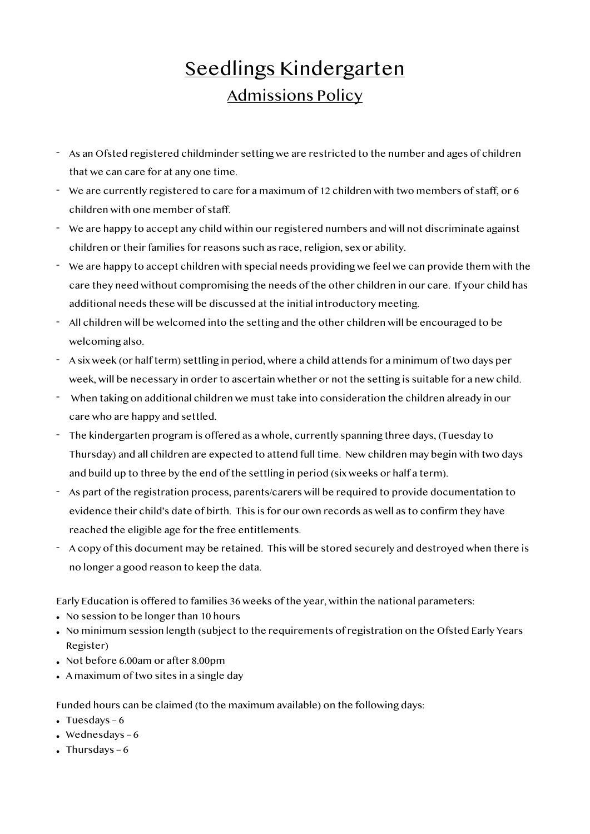## Seedlings Kindergarten Admissions Policy

- As an Ofsted registered childminder setting we are restricted to the number and ages of children that we can care for at any one time.
- We are currently registered to care for a maximum of 12 children with two members of staff, or 6 children with one member of staff.
- We are happy to accept any child within our registered numbers and will not discriminate against children or their families for reasons such as race, religion, sex or ability.
- We are happy to accept children with special needs providing we feel we can provide them with the care they need without compromising the needs of the other children in our care. If your child has additional needs these will be discussed at the initial introductory meeting.
- All children will be welcomed into the setting and the other children will be encouraged to be welcoming also.
- A six week (or half term) settling in period, where a child attends for a minimum of two days per week, will be necessary in order to ascertain whether or not the setting is suitable for a new child.
- When taking on additional children we must take into consideration the children already in our care who are happy and settled.
- The kindergarten program is offered as a whole, currently spanning three days, (Tuesday to Thursday) and all children are expected to attend full time. New children may begin with two days and build up to three by the end of the settling in period (six weeks or half a term).
- As part of the registration process, parents/carers will be required to provide documentation to evidence their child's date of birth. This is for our own records as well as to confirm they have reached the eligible age for the free entitlements.
- A copy of this document may be retained. This will be stored securely and destroyed when there is no longer a good reason to keep the data.

Early Education is offered to families 36 weeks of the year, within the national parameters:

- No session to be longer than 10 hours
- No minimum session length (subject to the requirements of registration on the Ofsted Early Years Register)
- Not before 6.00am or after 8.00pm
- A maximum of two sites in a single day

Funded hours can be claimed (to the maximum available) on the following days:

- Tuesdays  $-6$
- Wednesdays  $-6$
- Thursdays  $-6$